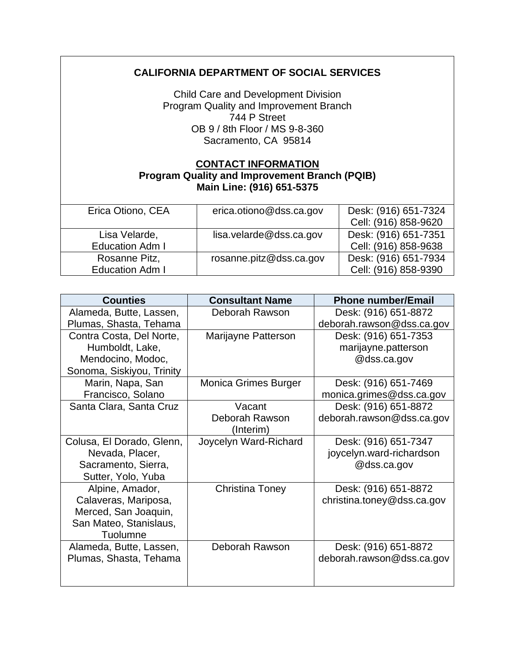## **CALIFORNIA DEPARTMENT OF SOCIAL SERVICES**

Child Care and Development Division Program Quality and Improvement Branch 744 P Street OB 9 / 8th Floor / MS 9-8-360 Sacramento, CA 95814

## **CONTACT INFORMATION Program Quality and Improvement Branch (PQIB) Main Line: (916) 651-5375**

| Erica Otiono, CEA      | erica.otiono@dss.ca.gov | Desk: (916) 651-7324 |
|------------------------|-------------------------|----------------------|
|                        |                         | Cell: (916) 858-9620 |
| Lisa Velarde,          | lisa.velarde@dss.ca.gov | Desk: (916) 651-7351 |
| <b>Education Adm I</b> |                         | Cell: (916) 858-9638 |
| Rosanne Pitz,          | rosanne.pitz@dss.ca.gov | Desk: (916) 651-7934 |
| <b>Education Adm I</b> |                         | Cell: (916) 858-9390 |

| <b>Counties</b>           | <b>Consultant Name</b>      | <b>Phone number/Email</b>  |
|---------------------------|-----------------------------|----------------------------|
| Alameda, Butte, Lassen,   | Deborah Rawson              | Desk: (916) 651-8872       |
| Plumas, Shasta, Tehama    |                             | deborah.rawson@dss.ca.gov  |
| Contra Costa, Del Norte,  | Marijayne Patterson         | Desk: (916) 651-7353       |
| Humboldt, Lake,           |                             | marijayne.patterson        |
| Mendocino, Modoc,         |                             | @dss.ca.gov                |
| Sonoma, Siskiyou, Trinity |                             |                            |
| Marin, Napa, San          | <b>Monica Grimes Burger</b> | Desk: (916) 651-7469       |
| Francisco, Solano         |                             | monica.grimes@dss.ca.gov   |
| Santa Clara, Santa Cruz   | Vacant                      | Desk: (916) 651-8872       |
|                           | Deborah Rawson              | deborah.rawson@dss.ca.gov  |
|                           | (Interim)                   |                            |
| Colusa, El Dorado, Glenn, | Joycelyn Ward-Richard       | Desk: (916) 651-7347       |
| Nevada, Placer,           |                             | joycelyn.ward-richardson   |
| Sacramento, Sierra,       |                             | @dss.ca.gov                |
| Sutter, Yolo, Yuba        |                             |                            |
| Alpine, Amador,           | <b>Christina Toney</b>      | Desk: (916) 651-8872       |
| Calaveras, Mariposa,      |                             | christina.toney@dss.ca.gov |
| Merced, San Joaquin,      |                             |                            |
| San Mateo, Stanislaus,    |                             |                            |
| Tuolumne                  |                             |                            |
| Alameda, Butte, Lassen,   | Deborah Rawson              | Desk: (916) 651-8872       |
| Plumas, Shasta, Tehama    |                             | deborah.rawson@dss.ca.gov  |
|                           |                             |                            |
|                           |                             |                            |